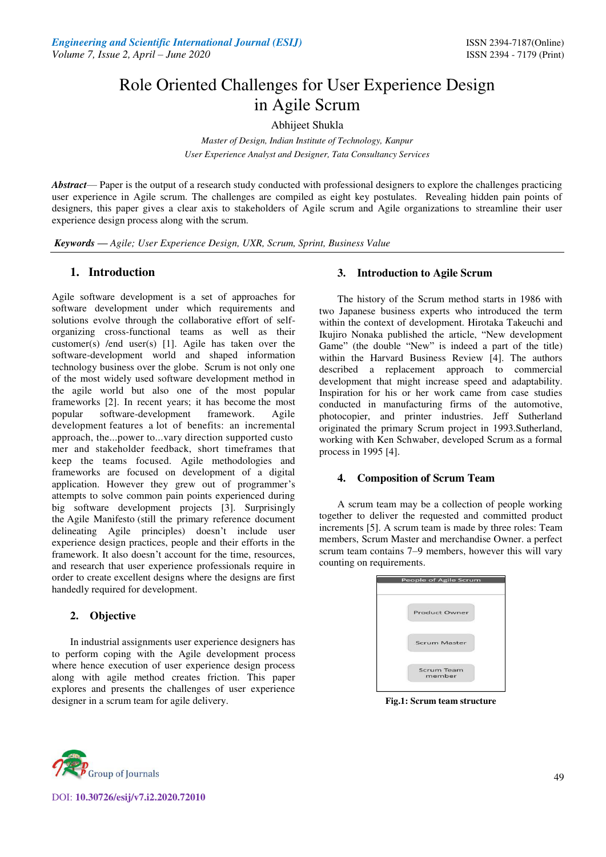# Role Oriented Challenges for User Experience Design in Agile Scrum

Abhijeet Shukla

*Master of Design, Indian Institute of Technology, Kanpur User Experience Analyst and Designer, Tata Consultancy Services* 

*Abstract*— Paper is the output of a research study conducted with professional designers to explore the challenges practicing user experience in Agile scrum. The challenges are compiled as eight key postulates. Revealing hidden pain points of designers, this paper gives a clear axis to stakeholders of Agile scrum and Agile organizations to streamline their user experience design process along with the scrum.

*Keywords* **—** *Agile; User Experience Design, UXR, Scrum, Sprint, Business Value* 

# **1. Introduction**

Agile software development is a set of approaches for software development under which requirements and solutions evolve through the collaborative effort of selforganizing cross-functional teams as well as their customer(s) /end user(s) [1]. Agile has taken over the software-development world and shaped information technology business over the globe. Scrum is not only one of the most widely used software development method in the agile world but also one of the most popular frameworks [2]. In recent years; it has become [the most](https://www.nngroup.com/articles/state-ux-agile-development/)  [popular software-development framework.](https://www.nngroup.com/articles/state-ux-agile-development/) Agile development features a lot of benefits: an incremental approach, the...power to...vary direction supported custo mer and stakeholder feedback, short timeframes that keep the teams focused. Agile methodologies and frameworks are focused on development of a digital application. However they grew out of programmer's attempts to solve common pain points experienced during big software development projects [3]. Surprisingly the Agile Manifesto (still the primary reference document delineating Agile principles) doesn't include user experience design practices, people and their efforts in the framework. It also doesn't account for the time, resources, and research that user experience professionals require in order to create excellent designs where the designs are first handedly required for development.

# **2. Objective**

In industrial assignments user experience designers has to perform coping with the Agile development process where hence execution of user experience design process along with agile method creates friction. This paper explores and presents the challenges of user experience designer in a scrum team for agile delivery.

## **3. Introduction to Agile Scrum**

The history of the Scrum method starts in 1986 with two Japanese business experts who introduced the term within the context of development. Hirotaka Takeuchi and Ikujiro Nonaka published the article, "New development Game" (the double "New" is indeed a part of the title) within the Harvard Business Review [4]. The authors described a replacement approach to commercial development that might increase speed and adaptability. Inspiration for his or her work came from case studies conducted in manufacturing firms of the automotive, photocopier, and printer industries. Jeff Sutherland originated the primary Scrum project in 1993.Sutherland, working with Ken Schwaber, developed Scrum as a formal process in 1995 [4].

## **4. Composition of Scrum Team**

A scrum team may be a collection of people working together to deliver the requested and committed product increments [5]. A scrum team is made by three roles: Team members, Scrum Master and merchandise Owner. a perfect scrum team contains 7–9 members, however this will vary counting on requirements.

| Product Owner               |
|-----------------------------|
| <b>Scrum Master</b>         |
| <b>Scrum Team</b><br>member |

**Fig.1: Scrum team structure** 



DOI: **10.30726/esij/v7.i2.2020.72010**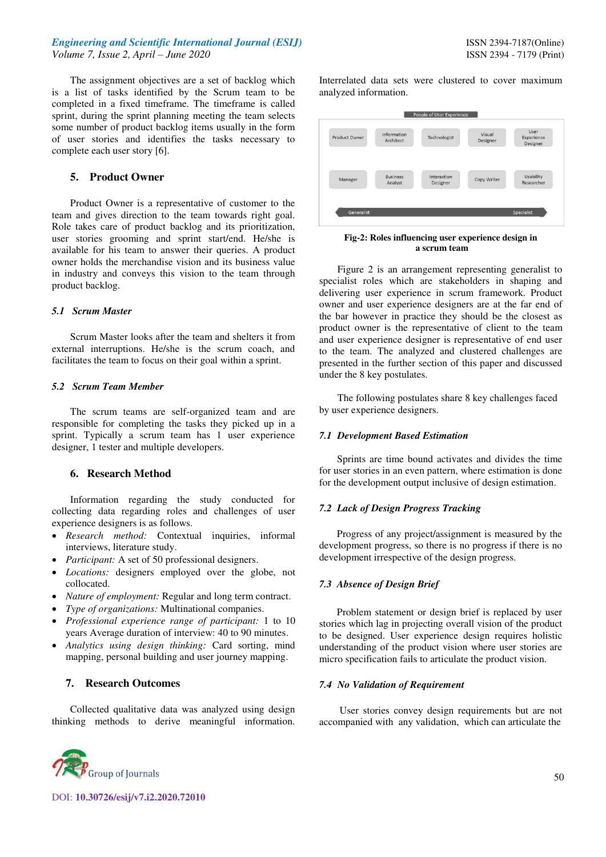## *Engineering and Scientific International Journal (ESIJ)* **ISSN 2394-7187(Online) ISSN 2394-7187(Online)** *Volume 7, Issue 2, April – June 2020* ISSN 2394 - 7179 (Print)

The assignment objectives are a set of backlog which is a list of tasks identified by the Scrum team to be completed in a fixed timeframe. The timeframe is called sprint, during the sprint planning meeting the team selects some number of product backlog items usually in the form of user stories and identifies the tasks necessary to complete each user story [6].

## **5. Product Owner**

Product Owner is a representative of customer to the team and gives direction to the team towards right goal. Role takes care of product backlog and its prioritization, user stories grooming and sprint start/end. He/she is available for his team to answer their queries. A product owner holds the merchandise vision and its business value in industry and conveys this vision to the team through product backlog.

#### *5.1 Scrum Master*

Scrum Master looks after the team and shelters it from external interruptions. He/she is the scrum coach, and facilitates the team to focus on their goal within a sprint.

## *5.2 Scrum Team Member*

The scrum teams are self-organized team and are responsible for completing the tasks they picked up in a sprint. Typically a scrum team has 1 user experience designer, 1 tester and multiple developers.

## **6. Research Method**

Information regarding the study conducted for collecting data regarding roles and challenges of user experience designers is as follows.

- *Research method:* Contextual inquiries, informal interviews, literature study.
- *Participant:* A set of 50 professional designers.
- *Locations:* designers employed over the globe, not collocated.
- *Nature of employment:* Regular and long term contract.
- *Type of organizations:* Multinational companies.
- *Professional experience range of participant:* 1 to 10 years Average duration of interview: 40 to 90 minutes.
- *Analytics using design thinking:* Card sorting, mind mapping, personal building and user journey mapping.

# **7. Research Outcomes**

Collected qualitative data was analyzed using design thinking methods to derive meaningful information.



DOI: **10.30726/esij/v7.i2.2020.72010**

Interrelated data sets were clustered to cover maximum analyzed information.



#### **Fig-2: Roles influencing user experience design in a scrum team**

Figure 2 is an arrangement representing generalist to specialist roles which are stakeholders in shaping and delivering user experience in scrum framework. Product owner and user experience designers are at the far end of the bar however in practice they should be the closest as product owner is the representative of client to the team and user experience designer is representative of end user to the team. The analyzed and clustered challenges are presented in the further section of this paper and discussed under the 8 key postulates.

The following postulates share 8 key challenges faced by user experience designers.

#### *7.1 Development Based Estimation*

 Sprints are time bound activates and divides the time for user stories in an even pattern, where estimation is done for the development output inclusive of design estimation.

#### *7.2 Lack of Design Progress Tracking*

 Progress of any project/assignment is measured by the development progress, so there is no progress if there is no development irrespective of the design progress.

#### *7.3 Absence of Design Brief*

 Problem statement or design brief is replaced by user stories which lag in projecting overall vision of the product to be designed. User experience design requires holistic understanding of the product vision where user stories are micro specification fails to articulate the product vision.

#### *7.4 No Validation of Requirement*

 User stories convey design requirements but are not accompanied with any validation, which can articulate the